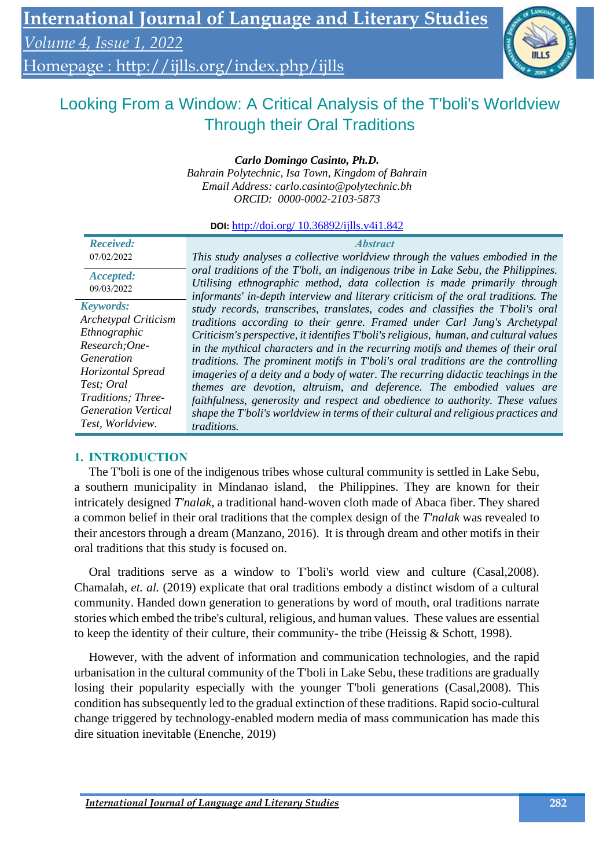# Homepage :<http://ijlls.org/index.php/ijlls>

# Looking From a Window: A Critical Analysis of the T'boli's Worldview Through their Oral Traditions

# *Carlo Domingo Casinto, Ph.D.*

*Bahrain Polytechnic, Isa Town, Kingdom of Bahrain Email Address: [carlo.casinto@polytechnic.bh](mailto:carlo.casinto@polytechnic.bh) ORCID: 0000-0002-2103-5873*

**DOI:** http://doi.org/ 10.36892/ijlls.v4i1.842

| <b>Received:</b><br>07/02/2022                  | <i><b>Abstract</b></i><br>This study analyses a collective worldview through the values embodied in the                                                                                                                                            |
|-------------------------------------------------|----------------------------------------------------------------------------------------------------------------------------------------------------------------------------------------------------------------------------------------------------|
| Accepted:<br>09/03/2022                         | oral traditions of the T'boli, an indigenous tribe in Lake Sebu, the Philippines.<br>Utilising ethnographic method, data collection is made primarily through<br>informants' in-depth interview and literary criticism of the oral traditions. The |
| <b>Keywords:</b><br><b>Archetypal Criticism</b> | study records, transcribes, translates, codes and classifies the T'boli's oral                                                                                                                                                                     |
| Ethnographic                                    | traditions according to their genre. Framed under Carl Jung's Archetypal<br>Criticism's perspective, it identifies T'boli's religious, human, and cultural values                                                                                  |
| Research; One-<br>Generation                    | in the mythical characters and in the recurring motifs and themes of their oral<br>traditions. The prominent motifs in T'boli's oral traditions are the controlling                                                                                |
| Horizontal Spread                               | imageries of a deity and a body of water. The recurring didactic teachings in the                                                                                                                                                                  |
| Test; Oral<br>Traditions; Three-                | themes are devotion, altruism, and deference. The embodied values are<br>faithfulness, generosity and respect and obedience to authority. These values                                                                                             |
| <b>Generation Vertical</b><br>Test, Worldview.  | shape the T'boli's worldview in terms of their cultural and religious practices and<br><i>traditions.</i>                                                                                                                                          |

## **1. INTRODUCTION**

The T'boli is one of the indigenous tribes whose cultural community is settled in Lake Sebu, a southern municipality in Mindanao island, the Philippines. They are known for their intricately designed *T'nalak*, a traditional hand-woven cloth made of Abaca fiber. They shared a common belief in their oral traditions that the complex design of the *T'nalak* was revealed to their ancestors through a dream (Manzano, 2016). It is through dream and other motifs in their oral traditions that this study is focused on.

Oral traditions serve as a window to T'boli's world view and culture (Casal,2008). Chamalah, *et. al.* (2019) explicate that oral traditions embody a distinct wisdom of a cultural community. Handed down generation to generations by word of mouth, oral traditions narrate stories which embed the tribe's cultural, religious, and human values. These values are essential to keep the identity of their culture, their community- the tribe (Heissig & Schott, 1998).

However, with the advent of information and communication technologies, and the rapid urbanisation in the cultural community of the T'boli in Lake Sebu, these traditions are gradually losing their popularity especially with the younger T'boli generations (Casal,2008). This condition has subsequently led to the gradual extinction of these traditions. Rapid socio-cultural change triggered by technology-enabled modern media of mass communication has made this dire situation inevitable (Enenche, 2019)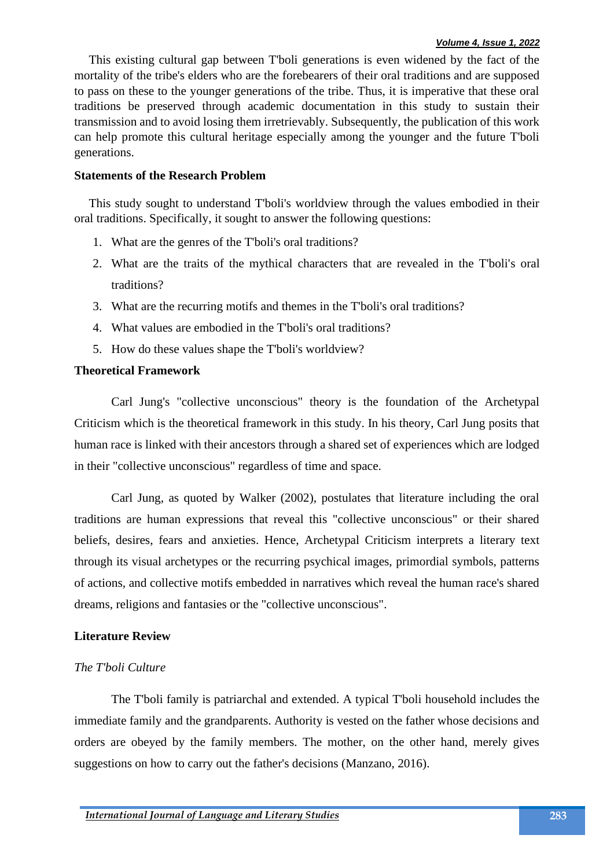This existing cultural gap between T'boli generations is even widened by the fact of the mortality of the tribe's elders who are the forebearers of their oral traditions and are supposed to pass on these to the younger generations of the tribe. Thus, it is imperative that these oral traditions be preserved through academic documentation in this study to sustain their transmission and to avoid losing them irretrievably. Subsequently, the publication of this work can help promote this cultural heritage especially among the younger and the future T'boli generations.

## **Statements of the Research Problem**

This study sought to understand T'boli's worldview through the values embodied in their oral traditions. Specifically, it sought to answer the following questions:

- 1. What are the genres of the T'boli's oral traditions?
- 2. What are the traits of the mythical characters that are revealed in the T'boli's oral traditions?
- 3. What are the recurring motifs and themes in the T'boli's oral traditions?
- 4. What values are embodied in the T'boli's oral traditions?
- 5. How do these values shape the T'boli's worldview?

## **Theoretical Framework**

Carl Jung's "collective unconscious" theory is the foundation of the Archetypal Criticism which is the theoretical framework in this study. In his theory, Carl Jung posits that human race is linked with their ancestors through a shared set of experiences which are lodged in their "collective unconscious" regardless of time and space.

Carl Jung, as quoted by Walker (2002), postulates that literature including the oral traditions are human expressions that reveal this "collective unconscious" or their shared beliefs, desires, fears and anxieties. Hence, Archetypal Criticism interprets a literary text through its visual archetypes or the recurring psychical images, primordial symbols, patterns of actions, and collective motifs embedded in narratives which reveal the human race's shared dreams, religions and fantasies or the "collective unconscious".

## **Literature Review**

# *The T'boli Culture*

The T'boli family is patriarchal and extended. A typical T'boli household includes the immediate family and the grandparents. Authority is vested on the father whose decisions and orders are obeyed by the family members. The mother, on the other hand, merely gives suggestions on how to carry out the father's decisions (Manzano, 2016).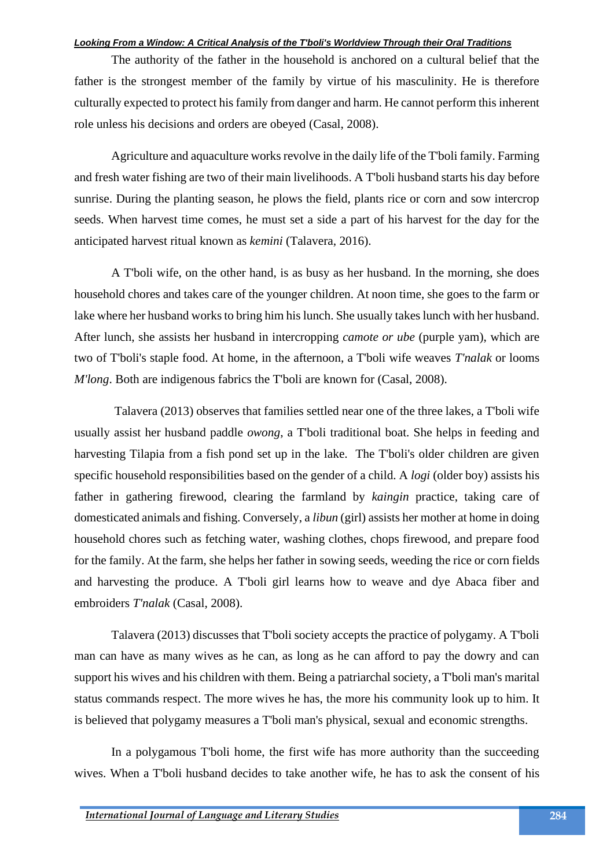The authority of the father in the household is anchored on a cultural belief that the father is the strongest member of the family by virtue of his masculinity. He is therefore culturally expected to protect his family from danger and harm. He cannot perform this inherent role unless his decisions and orders are obeyed (Casal, 2008).

Agriculture and aquaculture works revolve in the daily life of the T'boli family. Farming and fresh water fishing are two of their main livelihoods. A T'boli husband starts his day before sunrise. During the planting season, he plows the field, plants rice or corn and sow intercrop seeds. When harvest time comes, he must set a side a part of his harvest for the day for the anticipated harvest ritual known as *kemini* (Talavera, 2016).

A T'boli wife, on the other hand, is as busy as her husband. In the morning, she does household chores and takes care of the younger children. At noon time, she goes to the farm or lake where her husband works to bring him his lunch. She usually takes lunch with her husband. After lunch, she assists her husband in intercropping *camote or ube* (purple yam), which are two of T'boli's staple food. At home, in the afternoon, a T'boli wife weaves *T'nalak* or looms *M'long*. Both are indigenous fabrics the T'boli are known for (Casal, 2008).

Talavera (2013) observes that families settled near one of the three lakes, a T'boli wife usually assist her husband paddle *owong*, a T'boli traditional boat. She helps in feeding and harvesting Tilapia from a fish pond set up in the lake. The T'boli's older children are given specific household responsibilities based on the gender of a child. A *logi* (older boy) assists his father in gathering firewood, clearing the farmland by *kaingin* practice, taking care of domesticated animals and fishing. Conversely, a *libun* (girl) assists her mother at home in doing household chores such as fetching water, washing clothes, chops firewood, and prepare food for the family. At the farm, she helps her father in sowing seeds, weeding the rice or corn fields and harvesting the produce. A T'boli girl learns how to weave and dye Abaca fiber and embroiders *T'nalak* (Casal, 2008).

Talavera (2013) discusses that T'boli society accepts the practice of polygamy. A T'boli man can have as many wives as he can, as long as he can afford to pay the dowry and can support his wives and his children with them. Being a patriarchal society, a T'boli man's marital status commands respect. The more wives he has, the more his community look up to him. It is believed that polygamy measures a T'boli man's physical, sexual and economic strengths.

In a polygamous T'boli home, the first wife has more authority than the succeeding wives. When a T'boli husband decides to take another wife, he has to ask the consent of his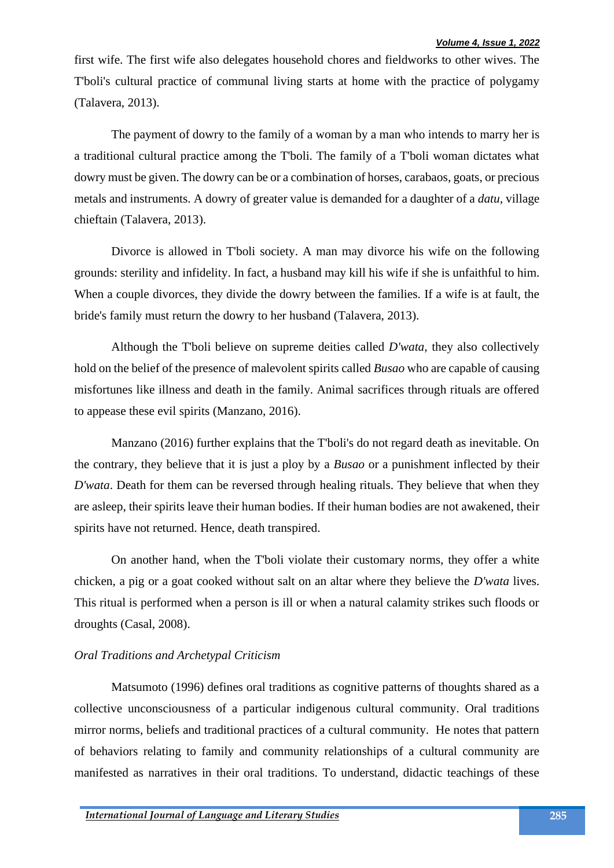first wife. The first wife also delegates household chores and fieldworks to other wives. The T'boli's cultural practice of communal living starts at home with the practice of polygamy (Talavera, 2013).

The payment of dowry to the family of a woman by a man who intends to marry her is a traditional cultural practice among the T'boli. The family of a T'boli woman dictates what dowry must be given. The dowry can be or a combination of horses, carabaos, goats, or precious metals and instruments. A dowry of greater value is demanded for a daughter of a *datu*, village chieftain (Talavera, 2013).

Divorce is allowed in T'boli society. A man may divorce his wife on the following grounds: sterility and infidelity. In fact, a husband may kill his wife if she is unfaithful to him. When a couple divorces, they divide the dowry between the families. If a wife is at fault, the bride's family must return the dowry to her husband (Talavera, 2013).

Although the T'boli believe on supreme deities called *D'wata*, they also collectively hold on the belief of the presence of malevolent spirits called *Busao* who are capable of causing misfortunes like illness and death in the family. Animal sacrifices through rituals are offered to appease these evil spirits (Manzano, 2016).

Manzano (2016) further explains that the T'boli's do not regard death as inevitable. On the contrary, they believe that it is just a ploy by a *Busao* or a punishment inflected by their *D'wata*. Death for them can be reversed through healing rituals. They believe that when they are asleep, their spirits leave their human bodies. If their human bodies are not awakened, their spirits have not returned. Hence, death transpired.

On another hand, when the T'boli violate their customary norms, they offer a white chicken, a pig or a goat cooked without salt on an altar where they believe the *D'wata* lives. This ritual is performed when a person is ill or when a natural calamity strikes such floods or droughts (Casal, 2008).

#### *Oral Traditions and Archetypal Criticism*

Matsumoto (1996) defines oral traditions as cognitive patterns of thoughts shared as a collective unconsciousness of a particular indigenous cultural community. Oral traditions mirror norms, beliefs and traditional practices of a cultural community. He notes that pattern of behaviors relating to family and community relationships of a cultural community are manifested as narratives in their oral traditions. To understand, didactic teachings of these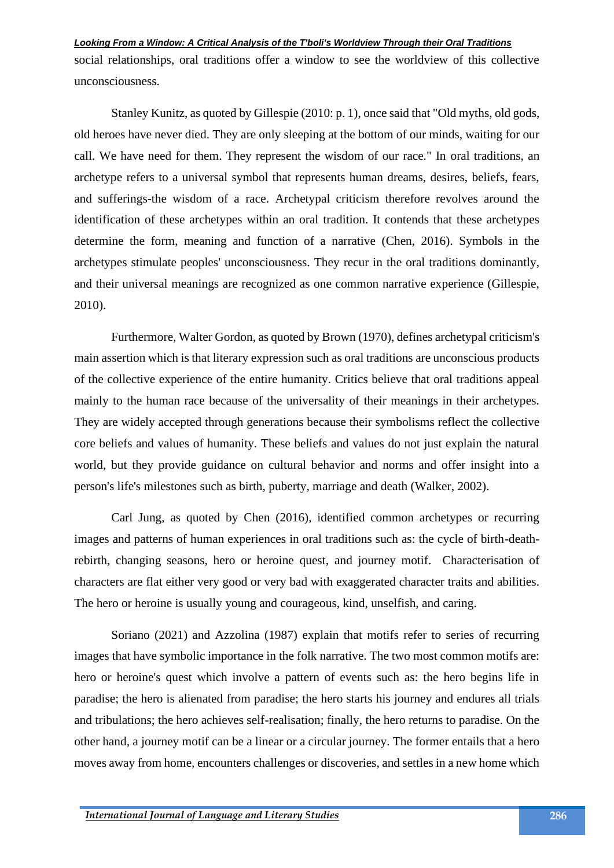social relationships, oral traditions offer a window to see the worldview of this collective unconsciousness.

Stanley Kunitz, as quoted by Gillespie (2010: p. 1), once said that "Old myths, old gods, old heroes have never died. They are only sleeping at the bottom of our minds, waiting for our call. We have need for them. They represent the wisdom of our race." In oral traditions, an archetype refers to a universal symbol that represents human dreams, desires, beliefs, fears, and sufferings-the wisdom of a race. Archetypal criticism therefore revolves around the identification of these archetypes within an oral tradition. It contends that these archetypes determine the form, meaning and function of a narrative (Chen, 2016). Symbols in the archetypes stimulate peoples' unconsciousness. They recur in the oral traditions dominantly, and their universal meanings are recognized as one common narrative experience (Gillespie, 2010).

Furthermore, Walter Gordon, as quoted by Brown (1970), defines archetypal criticism's main assertion which is that literary expression such as oral traditions are unconscious products of the collective experience of the entire humanity. Critics believe that oral traditions appeal mainly to the human race because of the universality of their meanings in their archetypes. They are widely accepted through generations because their symbolisms reflect the collective core beliefs and values of humanity. These beliefs and values do not just explain the natural world, but they provide guidance on cultural behavior and norms and offer insight into a person's life's milestones such as birth, puberty, marriage and death (Walker, 2002).

Carl Jung, as quoted by Chen (2016), identified common archetypes or recurring images and patterns of human experiences in oral traditions such as: the cycle of birth-deathrebirth, changing seasons, hero or heroine quest, and journey motif. Characterisation of characters are flat either very good or very bad with exaggerated character traits and abilities. The hero or heroine is usually young and courageous, kind, unselfish, and caring.

Soriano (2021) and Azzolina (1987) explain that motifs refer to series of recurring images that have symbolic importance in the folk narrative. The two most common motifs are: hero or heroine's quest which involve a pattern of events such as: the hero begins life in paradise; the hero is alienated from paradise; the hero starts his journey and endures all trials and tribulations; the hero achieves self-realisation; finally, the hero returns to paradise. On the other hand, a journey motif can be a linear or a circular journey. The former entails that a hero moves away from home, encounters challenges or discoveries, and settles in a new home which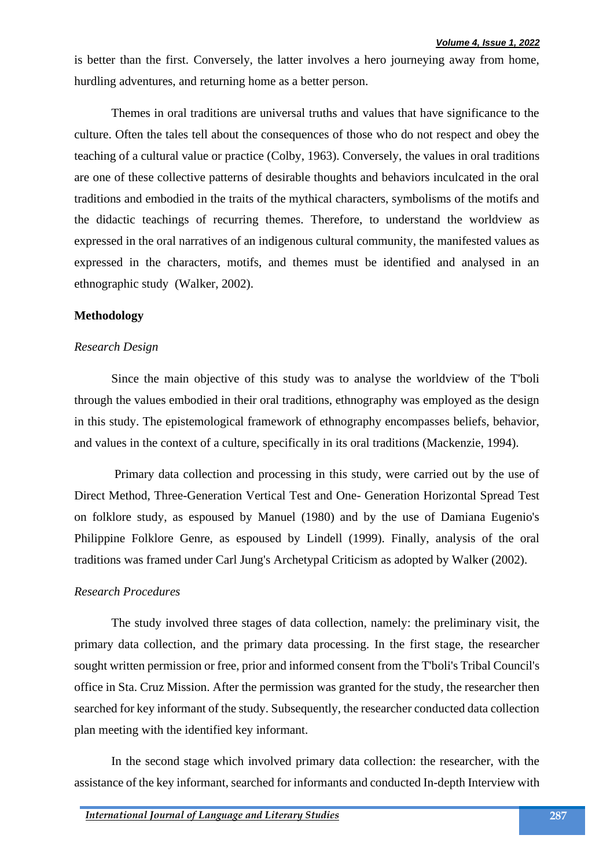is better than the first. Conversely, the latter involves a hero journeying away from home, hurdling adventures, and returning home as a better person.

Themes in oral traditions are universal truths and values that have significance to the culture. Often the tales tell about the consequences of those who do not respect and obey the teaching of a cultural value or practice (Colby, 1963). Conversely, the values in oral traditions are one of these collective patterns of desirable thoughts and behaviors inculcated in the oral traditions and embodied in the traits of the mythical characters, symbolisms of the motifs and the didactic teachings of recurring themes. Therefore, to understand the worldview as expressed in the oral narratives of an indigenous cultural community, the manifested values as expressed in the characters, motifs, and themes must be identified and analysed in an ethnographic study (Walker, 2002).

## **Methodology**

#### *Research Design*

Since the main objective of this study was to analyse the worldview of the T'boli through the values embodied in their oral traditions, ethnography was employed as the design in this study. The epistemological framework of ethnography encompasses beliefs, behavior, and values in the context of a culture, specifically in its oral traditions (Mackenzie, 1994).

Primary data collection and processing in this study, were carried out by the use of Direct Method, Three-Generation Vertical Test and One- Generation Horizontal Spread Test on folklore study, as espoused by Manuel (1980) and by the use of Damiana Eugenio's Philippine Folklore Genre, as espoused by Lindell (1999). Finally, analysis of the oral traditions was framed under Carl Jung's Archetypal Criticism as adopted by Walker (2002).

#### *Research Procedures*

The study involved three stages of data collection, namely: the preliminary visit, the primary data collection, and the primary data processing. In the first stage, the researcher sought written permission or free, prior and informed consent from the T'boli's Tribal Council's office in Sta. Cruz Mission. After the permission was granted for the study, the researcher then searched for key informant of the study. Subsequently, the researcher conducted data collection plan meeting with the identified key informant.

In the second stage which involved primary data collection: the researcher, with the assistance of the key informant, searched for informants and conducted In-depth Interview with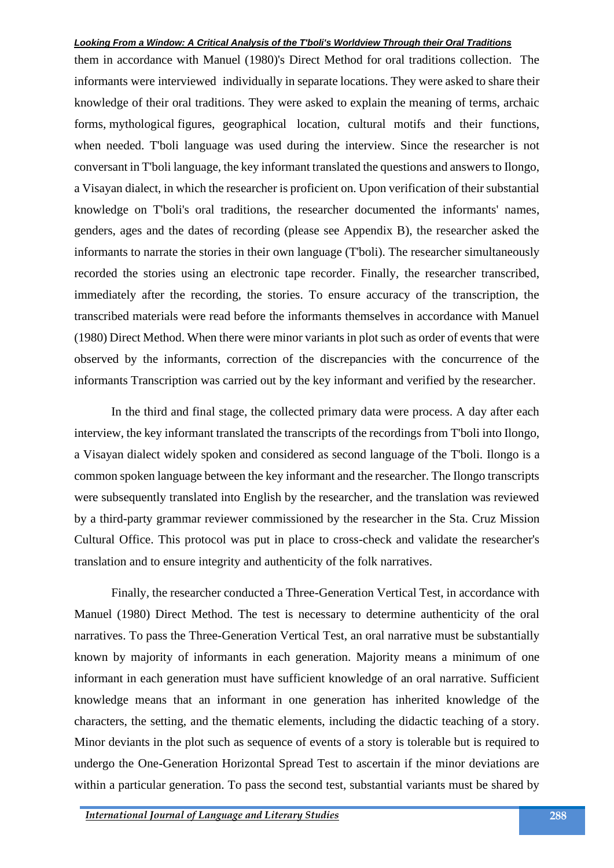them in accordance with Manuel (1980)'s Direct Method for oral traditions collection. The informants were interviewed individually in separate locations. They were asked to share their knowledge of their oral traditions. They were asked to explain the meaning of terms, archaic forms, mythological figures, geographical location, cultural motifs and their functions, when needed. T'boli language was used during the interview. Since the researcher is not conversant in T'boli language, the key informant translated the questions and answers to Ilongo, a Visayan dialect, in which the researcher is proficient on. Upon verification of their substantial knowledge on T'boli's oral traditions, the researcher documented the informants' names, genders, ages and the dates of recording (please see Appendix B), the researcher asked the informants to narrate the stories in their own language (T'boli). The researcher simultaneously recorded the stories using an electronic tape recorder. Finally, the researcher transcribed, immediately after the recording, the stories. To ensure accuracy of the transcription, the transcribed materials were read before the informants themselves in accordance with Manuel (1980) Direct Method. When there were minor variants in plot such as order of events that were observed by the informants, correction of the discrepancies with the concurrence of the informants Transcription was carried out by the key informant and verified by the researcher.

In the third and final stage, the collected primary data were process. A day after each interview, the key informant translated the transcripts of the recordings from T'boli into Ilongo, a Visayan dialect widely spoken and considered as second language of the T'boli. Ilongo is a common spoken language between the key informant and the researcher. The Ilongo transcripts were subsequently translated into English by the researcher, and the translation was reviewed by a third-party grammar reviewer commissioned by the researcher in the Sta. Cruz Mission Cultural Office. This protocol was put in place to cross-check and validate the researcher's translation and to ensure integrity and authenticity of the folk narratives.

Finally, the researcher conducted a Three-Generation Vertical Test, in accordance with Manuel (1980) Direct Method. The test is necessary to determine authenticity of the oral narratives. To pass the Three-Generation Vertical Test, an oral narrative must be substantially known by majority of informants in each generation. Majority means a minimum of one informant in each generation must have sufficient knowledge of an oral narrative. Sufficient knowledge means that an informant in one generation has inherited knowledge of the characters, the setting, and the thematic elements, including the didactic teaching of a story. Minor deviants in the plot such as sequence of events of a story is tolerable but is required to undergo the One-Generation Horizontal Spread Test to ascertain if the minor deviations are within a particular generation. To pass the second test, substantial variants must be shared by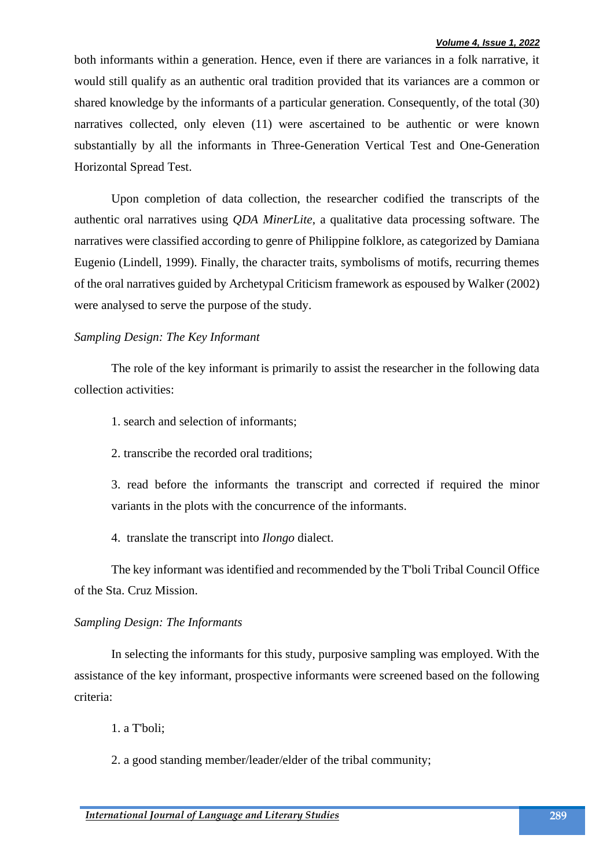both informants within a generation. Hence, even if there are variances in a folk narrative, it would still qualify as an authentic oral tradition provided that its variances are a common or shared knowledge by the informants of a particular generation. Consequently, of the total (30) narratives collected, only eleven (11) were ascertained to be authentic or were known substantially by all the informants in Three-Generation Vertical Test and One-Generation Horizontal Spread Test.

Upon completion of data collection, the researcher codified the transcripts of the authentic oral narratives using *QDA MinerLite*, a qualitative data processing software. The narratives were classified according to genre of Philippine folklore, as categorized by Damiana Eugenio (Lindell, 1999). Finally, the character traits, symbolisms of motifs, recurring themes of the oral narratives guided by Archetypal Criticism framework as espoused by Walker (2002) were analysed to serve the purpose of the study.

## *Sampling Design: The Key Informant*

The role of the key informant is primarily to assist the researcher in the following data collection activities:

1. search and selection of informants;

2. transcribe the recorded oral traditions;

3. read before the informants the transcript and corrected if required the minor variants in the plots with the concurrence of the informants.

4. translate the transcript into *Ilongo* dialect.

The key informant was identified and recommended by the T'boli Tribal Council Office of the Sta. Cruz Mission.

## *Sampling Design: The Informants*

In selecting the informants for this study, purposive sampling was employed. With the assistance of the key informant, prospective informants were screened based on the following criteria:

1. a T'boli;

2. a good standing member/leader/elder of the tribal community;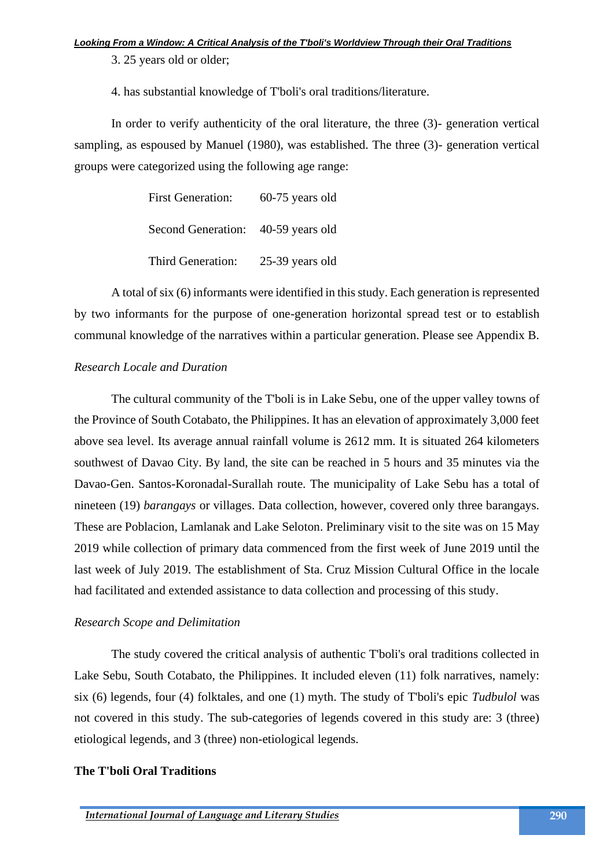3. 25 years old or older;

4. has substantial knowledge of T'boli's oral traditions/literature.

In order to verify authenticity of the oral literature, the three (3)- generation vertical sampling, as espoused by Manuel (1980), was established. The three (3)- generation vertical groups were categorized using the following age range:

| <b>First Generation:</b>           | $60-75$ years old |
|------------------------------------|-------------------|
| Second Generation: 40-59 years old |                   |
| Third Generation:                  | 25-39 years old   |

A total of six (6) informants were identified in this study. Each generation is represented by two informants for the purpose of one-generation horizontal spread test or to establish communal knowledge of the narratives within a particular generation. Please see Appendix B.

## *Research Locale and Duration*

The cultural community of the T'boli is in Lake Sebu, one of the upper valley towns of the Province of South Cotabato, the Philippines. It has an elevation of approximately 3,000 feet above sea level. Its average annual rainfall volume is 2612 mm. It is situated 264 kilometers southwest of Davao City. By land, the site can be reached in 5 hours and 35 minutes via the Davao-Gen. Santos-Koronadal-Surallah route. The municipality of Lake Sebu has a total of nineteen (19) *barangays* or villages. Data collection, however, covered only three barangays. These are Poblacion, Lamlanak and Lake Seloton. Preliminary visit to the site was on 15 May 2019 while collection of primary data commenced from the first week of June 2019 until the last week of July 2019. The establishment of Sta. Cruz Mission Cultural Office in the locale had facilitated and extended assistance to data collection and processing of this study.

## *Research Scope and Delimitation*

The study covered the critical analysis of authentic T'boli's oral traditions collected in Lake Sebu, South Cotabato, the Philippines. It included eleven (11) folk narratives, namely: six (6) legends, four (4) folktales, and one (1) myth. The study of T'boli's epic *Tudbulol* was not covered in this study. The sub-categories of legends covered in this study are: 3 (three) etiological legends, and 3 (three) non-etiological legends.

# **The T'boli Oral Traditions**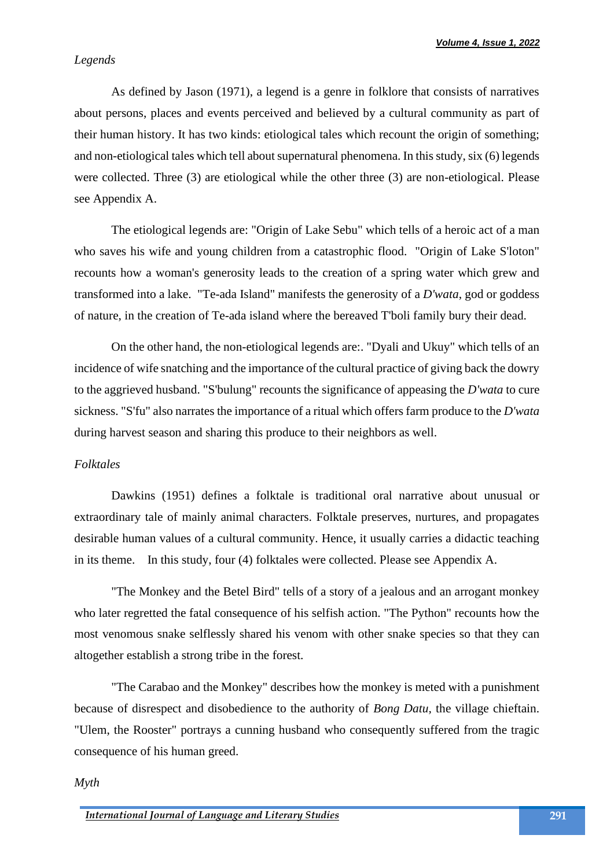## *Legends*

As defined by Jason (1971), a legend is a genre in folklore that consists of narratives about persons, places and events perceived and believed by a cultural community as part of their human history. It has two kinds: etiological tales which recount the origin of something; and non-etiological tales which tell about supernatural phenomena. In this study, six (6) legends were collected. Three (3) are etiological while the other three (3) are non-etiological. Please see Appendix A.

The etiological legends are: "Origin of Lake Sebu" which tells of a heroic act of a man who saves his wife and young children from a catastrophic flood. "Origin of Lake S'loton" recounts how a woman's generosity leads to the creation of a spring water which grew and transformed into a lake. "Te-ada Island" manifests the generosity of a *D'wata*, god or goddess of nature, in the creation of Te-ada island where the bereaved T'boli family bury their dead.

On the other hand, the non-etiological legends are:. "Dyali and Ukuy" which tells of an incidence of wife snatching and the importance of the cultural practice of giving back the dowry to the aggrieved husband. "S'bulung" recounts the significance of appeasing the *D'wata* to cure sickness. "S'fu" also narrates the importance of a ritual which offers farm produce to the *D'wata* during harvest season and sharing this produce to their neighbors as well.

## *Folktales*

Dawkins (1951) defines a folktale is traditional oral narrative about unusual or extraordinary tale of mainly animal characters. Folktale preserves, nurtures, and propagates desirable human values of a cultural community. Hence, it usually carries a didactic teaching in its theme. In this study, four (4) folktales were collected. Please see Appendix A.

"The Monkey and the Betel Bird" tells of a story of a jealous and an arrogant monkey who later regretted the fatal consequence of his selfish action. "The Python" recounts how the most venomous snake selflessly shared his venom with other snake species so that they can altogether establish a strong tribe in the forest.

"The Carabao and the Monkey" describes how the monkey is meted with a punishment because of disrespect and disobedience to the authority of *Bong Datu,* the village chieftain. "Ulem, the Rooster" portrays a cunning husband who consequently suffered from the tragic consequence of his human greed.

#### *Myth*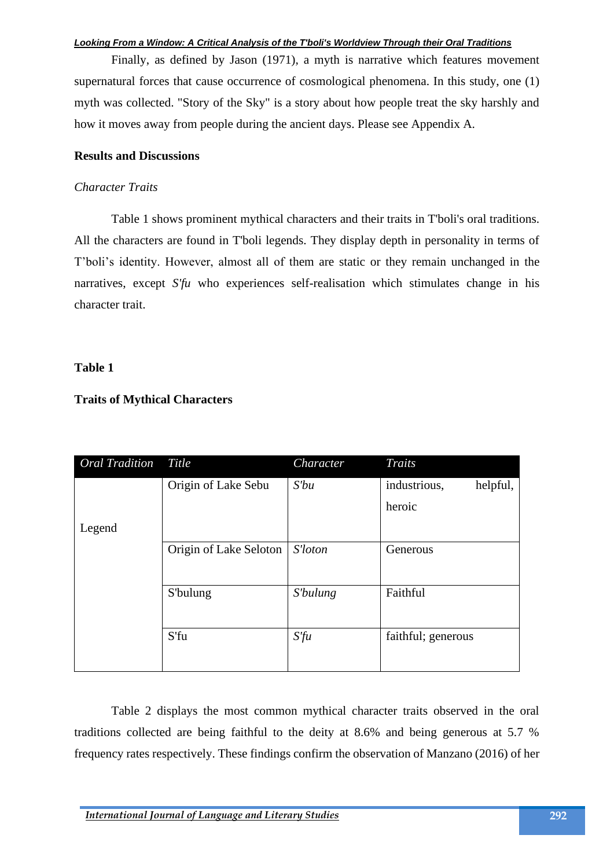Finally, as defined by Jason (1971), a myth is narrative which features movement supernatural forces that cause occurrence of cosmological phenomena. In this study, one (1) myth was collected. "Story of the Sky" is a story about how people treat the sky harshly and how it moves away from people during the ancient days. Please see Appendix A.

## **Results and Discussions**

## *Character Traits*

Table 1 shows prominent mythical characters and their traits in T'boli's oral traditions. All the characters are found in T'boli legends. They display depth in personality in terms of T'boli's identity. However, almost all of them are static or they remain unchanged in the narratives, except *S'fu* who experiences self-realisation which stimulates change in his character trait.

# **Table 1**

# **Traits of Mythical Characters**

| Oral Tradition | Title                  | Character       | Traits                   |
|----------------|------------------------|-----------------|--------------------------|
|                | Origin of Lake Sebu    | $S'$ bu         | industrious,<br>helpful, |
|                |                        |                 | heroic                   |
| Legend         |                        |                 |                          |
|                | Origin of Lake Seloton | S'loton         | Generous                 |
|                |                        |                 |                          |
|                | S'bulung               | <i>S'bulung</i> | Faithful                 |
|                |                        |                 |                          |
|                | S'fu                   | $S$ 'fu         | faithful; generous       |
|                |                        |                 |                          |

Table 2 displays the most common mythical character traits observed in the oral traditions collected are being faithful to the deity at 8.6% and being generous at 5.7 % frequency rates respectively. These findings confirm the observation of Manzano (2016) of her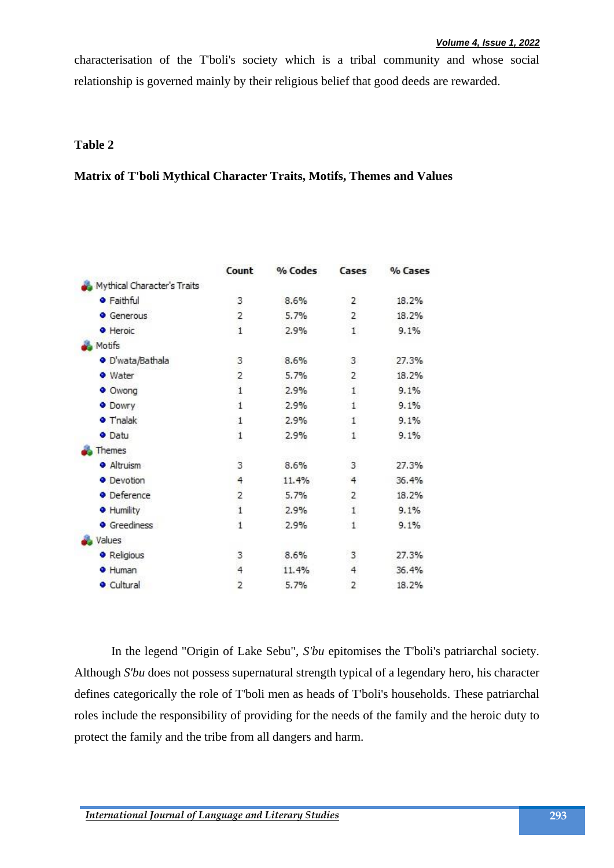characterisation of the T'boli's society which is a tribal community and whose social relationship is governed mainly by their religious belief that good deeds are rewarded.

# **Table 2**

# **Matrix of T'boli Mythical Character Traits, Motifs, Themes and Values**

|                             | Count          | % Codes | Cases          | % Cases |
|-----------------------------|----------------|---------|----------------|---------|
| Mythical Character's Traits |                |         |                |         |
| <b>•</b> Faithful           | 3              | 8.6%    | $\overline{2}$ | 18.2%   |
| Generous                    | 2              | 5.7%    | 2              | 18.2%   |
| <b>•</b> Heroic             | $\mathbf{1}$   | 2.9%    | $\mathbf{1}$   | 9.1%    |
| Motifs                      |                |         |                |         |
| · D'wata/Bathala            | 3              | 8.6%    | 3              | 27.3%   |
| · Water                     | $\overline{c}$ | 5.7%    | 2              | 18.2%   |
| · Owong                     | $\mathbf{1}$   | 2.9%    | $\mathbf{1}$   | 9.1%    |
| <b>O</b> Dowry              | $\mathbf{1}$   | 2.9%    | $\mathbf{1}$   | 9.1%    |
| <b>•</b> T'nalak            | 1              | 2.9%    | $\mathbf{1}$   | 9.1%    |
| <b>O</b> Datu               | $\mathbf 1$    | 2.9%    | $\,$ 1 $\,$    | 9.1%    |
| Themes                      |                |         |                |         |
| · Altruism                  | 3              | 8.6%    | 3              | 27.3%   |
| · Devotion                  | 4              | 11.4%   | 4              | 36.4%   |
| • Deference                 | $\overline{c}$ | 5.7%    | 2              | 18.2%   |
| <b>•</b> Humility           | $\mathbf{1}$   | 2.9%    | $\mathbf{1}$   | 9.1%    |
| <b>•</b> Greediness         | $\mathbf{1}$   | 2.9%    | $\mathbf{1}$   | 9.1%    |
| Values                      |                |         |                |         |
| <b>•</b> Religious          | 3              | 8.6%    | 3              | 27.3%   |
| <b>+</b> Human              | $\overline{4}$ | 11.4%   | $\ddot{4}$     | 36.4%   |
| <b>Cultural</b>             | $\overline{2}$ | 5.7%    | 2              | 18.2%   |

In the legend "Origin of Lake Sebu", *S'bu* epitomises the T'boli's patriarchal society. Although *S'bu* does not possess supernatural strength typical of a legendary hero, his character defines categorically the role of T'boli men as heads of T'boli's households. These patriarchal roles include the responsibility of providing for the needs of the family and the heroic duty to protect the family and the tribe from all dangers and harm.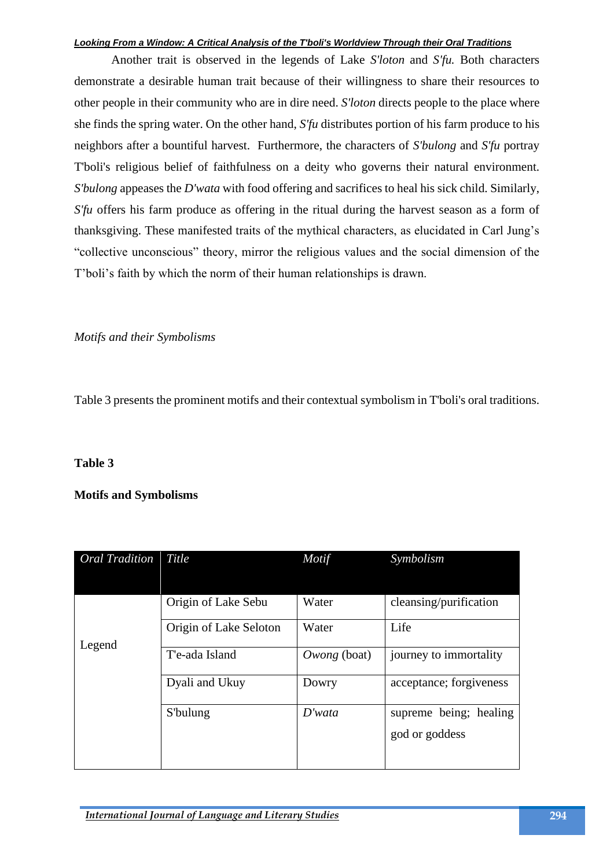Another trait is observed in the legends of Lake *S'loton* and *S'fu.* Both characters demonstrate a desirable human trait because of their willingness to share their resources to other people in their community who are in dire need. *S'loton* directs people to the place where she finds the spring water. On the other hand, *S'fu* distributes portion of his farm produce to his neighbors after a bountiful harvest. Furthermore, the characters of *S'bulong* and *S'fu* portray T'boli's religious belief of faithfulness on a deity who governs their natural environment. *S'bulong* appeases the *D'wata* with food offering and sacrifices to heal his sick child. Similarly, *S'fu* offers his farm produce as offering in the ritual during the harvest season as a form of thanksgiving. These manifested traits of the mythical characters, as elucidated in Carl Jung's "collective unconscious" theory, mirror the religious values and the social dimension of the T'boli's faith by which the norm of their human relationships is drawn.

*Motifs and their Symbolisms*

Table 3 presents the prominent motifs and their contextual symbolism in T'boli's oral traditions.

# **Table 3**

# **Motifs and Symbolisms**

| <b>Oral Tradition</b> Title |                        | Motif        | Symbolism               |
|-----------------------------|------------------------|--------------|-------------------------|
|                             |                        |              |                         |
|                             | Origin of Lake Sebu    | Water        | cleansing/purification  |
|                             | Origin of Lake Seloton | Water        | Life                    |
| Legend                      | T'e-ada Island         | Owong (boat) | journey to immortality  |
|                             | Dyali and Ukuy         | Dowry        | acceptance; forgiveness |
|                             | S'bulung               | D'wata       | supreme being; healing  |
|                             |                        |              | god or goddess          |
|                             |                        |              |                         |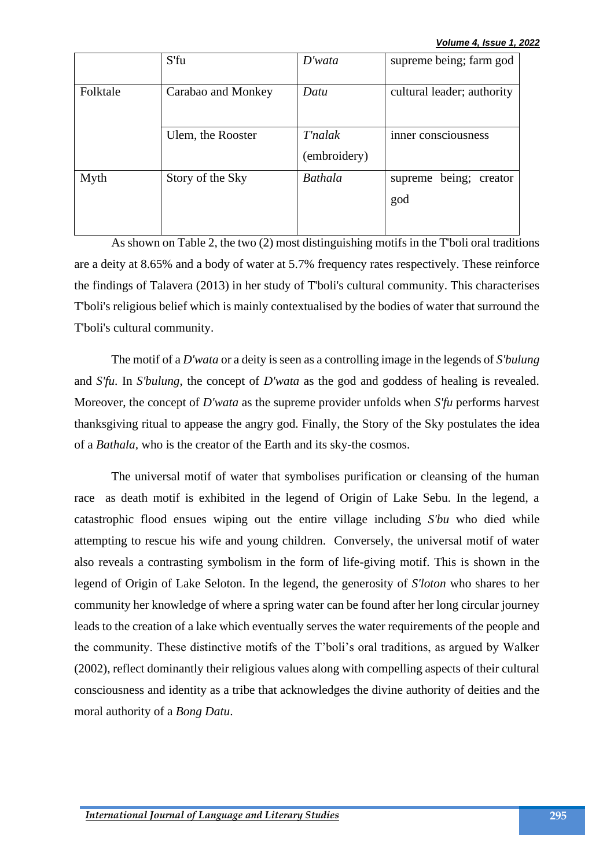*Volume 4, Issue 1, 2022*

|          | S'fu               | D'wata                  | supreme being; farm god             |
|----------|--------------------|-------------------------|-------------------------------------|
| Folktale | Carabao and Monkey | Datu                    | cultural leader; authority          |
|          | Ulem, the Rooster  | T'nalak<br>(embroidery) | inner consciousness                 |
| Myth     | Story of the Sky   | <b>Bathala</b>          | being;<br>supreme<br>creator<br>god |

As shown on Table 2, the two (2) most distinguishing motifs in the T'boli oral traditions are a deity at 8.65% and a body of water at 5.7% frequency rates respectively. These reinforce the findings of Talavera (2013) in her study of T'boli's cultural community. This characterises T'boli's religious belief which is mainly contextualised by the bodies of water that surround the T'boli's cultural community.

The motif of a *D'wata* or a deity is seen as a controlling image in the legends of *S'bulung*  and *S'fu*. In *S'bulung*, the concept of *D'wata* as the god and goddess of healing is revealed. Moreover, the concept of *D'wata* as the supreme provider unfolds when *S'fu* performs harvest thanksgiving ritual to appease the angry god. Finally, the Story of the Sky postulates the idea of a *Bathala,* who is the creator of the Earth and its sky-the cosmos.

The universal motif of water that symbolises purification or cleansing of the human race as death motif is exhibited in the legend of Origin of Lake Sebu. In the legend, a catastrophic flood ensues wiping out the entire village including *S'bu* who died while attempting to rescue his wife and young children. Conversely, the universal motif of water also reveals a contrasting symbolism in the form of life-giving motif. This is shown in the legend of Origin of Lake Seloton. In the legend, the generosity of *S'loton* who shares to her community her knowledge of where a spring water can be found after her long circular journey leads to the creation of a lake which eventually serves the water requirements of the people and the community. These distinctive motifs of the T'boli's oral traditions, as argued by Walker (2002), reflect dominantly their religious values along with compelling aspects of their cultural consciousness and identity as a tribe that acknowledges the divine authority of deities and the moral authority of a *Bong Datu*.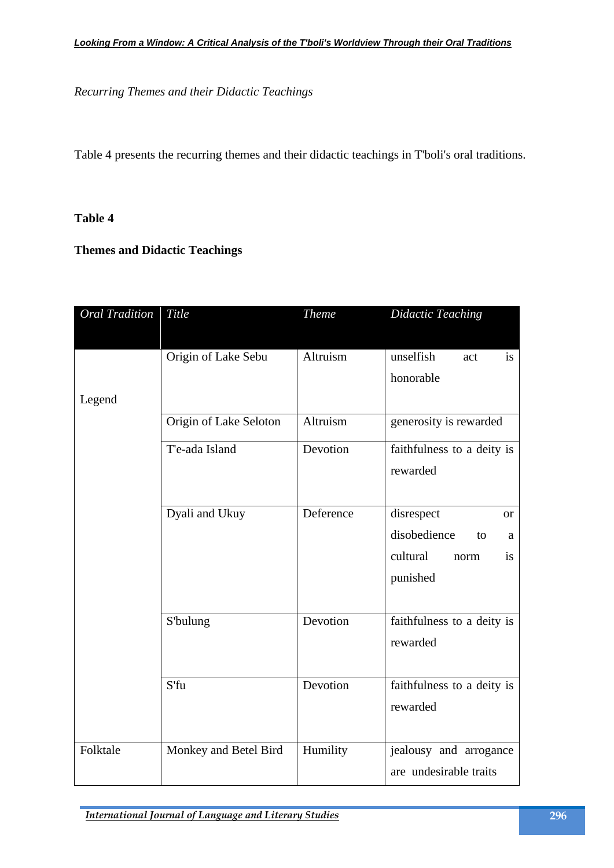*Recurring Themes and their Didactic Teachings*

Table 4 presents the recurring themes and their didactic teachings in T'boli's oral traditions.

## **Table 4**

**Themes and Didactic Teachings**

| <b>Oral Tradition</b> | Title                  | <b>Theme</b> | <b>Didactic Teaching</b>      |
|-----------------------|------------------------|--------------|-------------------------------|
|                       |                        |              |                               |
|                       | Origin of Lake Sebu    | Altruism     | unselfish<br>act<br><i>is</i> |
|                       |                        |              | honorable                     |
| Legend                |                        |              |                               |
|                       | Origin of Lake Seloton | Altruism     | generosity is rewarded        |
|                       | T'e-ada Island         | Devotion     | faithfulness to a deity is    |
|                       |                        |              | rewarded                      |
|                       |                        |              |                               |
|                       | Dyali and Ukuy         | Deference    | disrespect<br><b>or</b>       |
|                       |                        |              | disobedience<br>to<br>a       |
|                       |                        |              | cultural<br>is<br>norm        |
|                       |                        |              | punished                      |
|                       |                        |              |                               |
|                       | S'bulung               | Devotion     | faithfulness to a deity is    |
|                       |                        |              | rewarded                      |
|                       |                        |              |                               |
|                       | S'fu                   | Devotion     | faithfulness to a deity is    |
|                       |                        |              | rewarded                      |
|                       |                        |              |                               |
| Folktale              | Monkey and Betel Bird  | Humility     | jealousy and arrogance        |
|                       |                        |              | are undesirable traits        |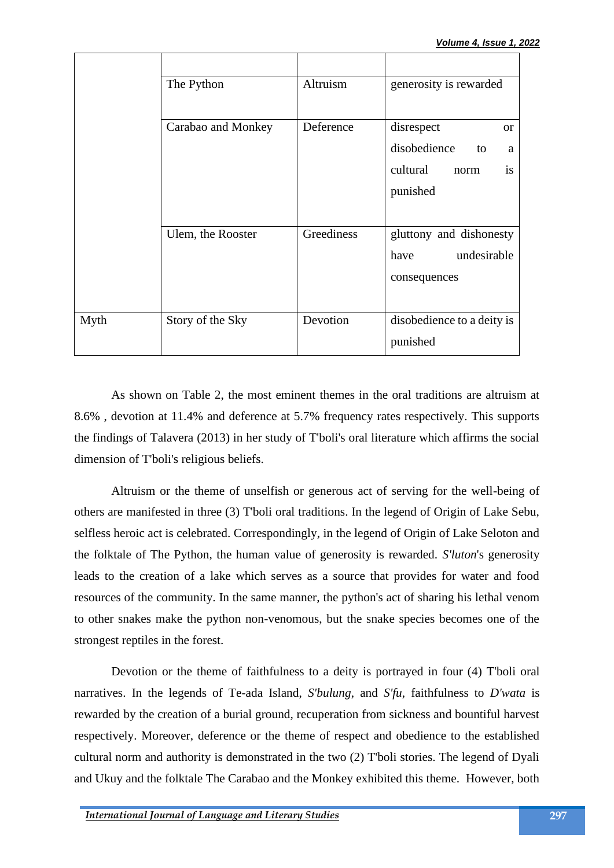|             | The Python         | Altruism   | generosity is rewarded      |
|-------------|--------------------|------------|-----------------------------|
|             |                    |            |                             |
|             | Carabao and Monkey | Deference  | disrespect<br><sub>or</sub> |
|             |                    |            | disobedience<br>to<br>a     |
|             |                    |            | is<br>cultural<br>norm      |
|             |                    |            | punished                    |
|             |                    |            |                             |
|             | Ulem, the Rooster  | Greediness | gluttony and dishonesty     |
|             |                    |            | undesirable<br>have         |
|             |                    |            | consequences                |
|             |                    |            |                             |
| <b>Myth</b> | Story of the Sky   | Devotion   | disobedience to a deity is  |
|             |                    |            | punished                    |

As shown on Table 2, the most eminent themes in the oral traditions are altruism at 8.6% , devotion at 11.4% and deference at 5.7% frequency rates respectively. This supports the findings of Talavera (2013) in her study of T'boli's oral literature which affirms the social dimension of T'boli's religious beliefs.

Altruism or the theme of unselfish or generous act of serving for the well-being of others are manifested in three (3) T'boli oral traditions. In the legend of Origin of Lake Sebu, selfless heroic act is celebrated. Correspondingly, in the legend of Origin of Lake Seloton and the folktale of The Python, the human value of generosity is rewarded. *S'luton*'s generosity leads to the creation of a lake which serves as a source that provides for water and food resources of the community. In the same manner, the python's act of sharing his lethal venom to other snakes make the python non-venomous, but the snake species becomes one of the strongest reptiles in the forest.

Devotion or the theme of faithfulness to a deity is portrayed in four (4) T'boli oral narratives. In the legends of Te-ada Island, *S'bulung*, and *S'fu*, faithfulness to *D'wata* is rewarded by the creation of a burial ground, recuperation from sickness and bountiful harvest respectively. Moreover, deference or the theme of respect and obedience to the established cultural norm and authority is demonstrated in the two (2) T'boli stories. The legend of Dyali and Ukuy and the folktale The Carabao and the Monkey exhibited this theme. However, both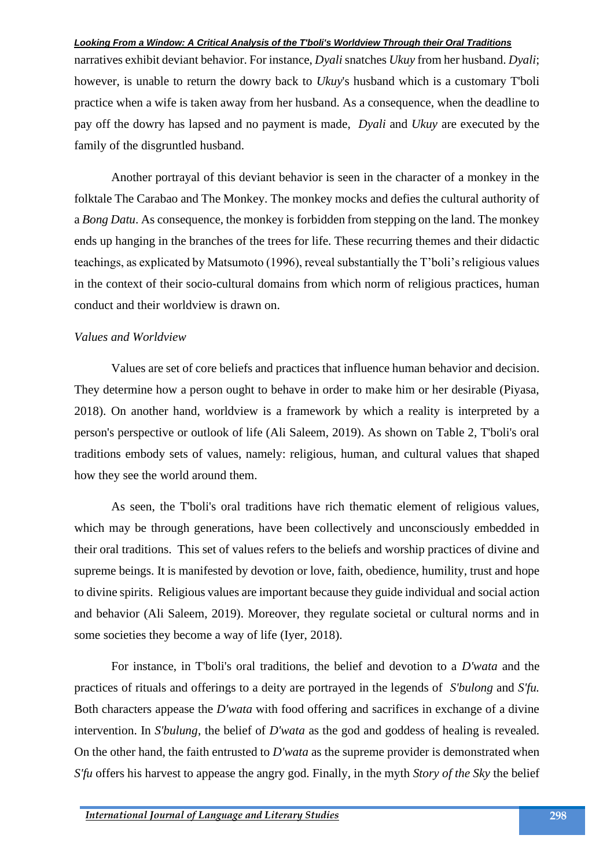narratives exhibit deviant behavior. For instance, *Dyali* snatches *Ukuy* from her husband. *Dyali*; however, is unable to return the dowry back to *Ukuy*'s husband which is a customary T'boli practice when a wife is taken away from her husband. As a consequence, when the deadline to pay off the dowry has lapsed and no payment is made, *Dyali* and *Ukuy* are executed by the family of the disgruntled husband.

Another portrayal of this deviant behavior is seen in the character of a monkey in the folktale The Carabao and The Monkey. The monkey mocks and defies the cultural authority of a *Bong Datu*. As consequence, the monkey is forbidden from stepping on the land. The monkey ends up hanging in the branches of the trees for life. These recurring themes and their didactic teachings, as explicated by Matsumoto (1996), reveal substantially the T'boli's religious values in the context of their socio-cultural domains from which norm of religious practices, human conduct and their worldview is drawn on.

# *Values and Worldview*

Values are set of core beliefs and practices that influence human behavior and decision. They determine how a person ought to behave in order to make him or her desirable (Piyasa, 2018). On another hand, worldview is a framework by which a reality is interpreted by a person's perspective or outlook of life (Ali Saleem, 2019). As shown on Table 2, T'boli's oral traditions embody sets of values, namely: religious, human, and cultural values that shaped how they see the world around them.

As seen, the T'boli's oral traditions have rich thematic element of religious values, which may be through generations, have been collectively and unconsciously embedded in their oral traditions. This set of values refers to the beliefs and worship practices of divine and supreme beings. It is manifested by devotion or love, faith, obedience, humility, trust and hope to divine spirits. Religious values are important because they guide individual and social action and behavior (Ali Saleem, 2019). Moreover, they regulate societal or cultural norms and in some societies they become a way of life (Iyer, 2018).

For instance, in T'boli's oral traditions, the belief and devotion to a *D'wata* and the practices of rituals and offerings to a deity are portrayed in the legends of *S'bulong* and *S'fu.*  Both characters appease the *D'wata* with food offering and sacrifices in exchange of a divine intervention. In *S'bulung*, the belief of *D'wata* as the god and goddess of healing is revealed. On the other hand, the faith entrusted to *D'wata* as the supreme provider is demonstrated when *S'fu* offers his harvest to appease the angry god. Finally, in the myth *Story of the Sky* the belief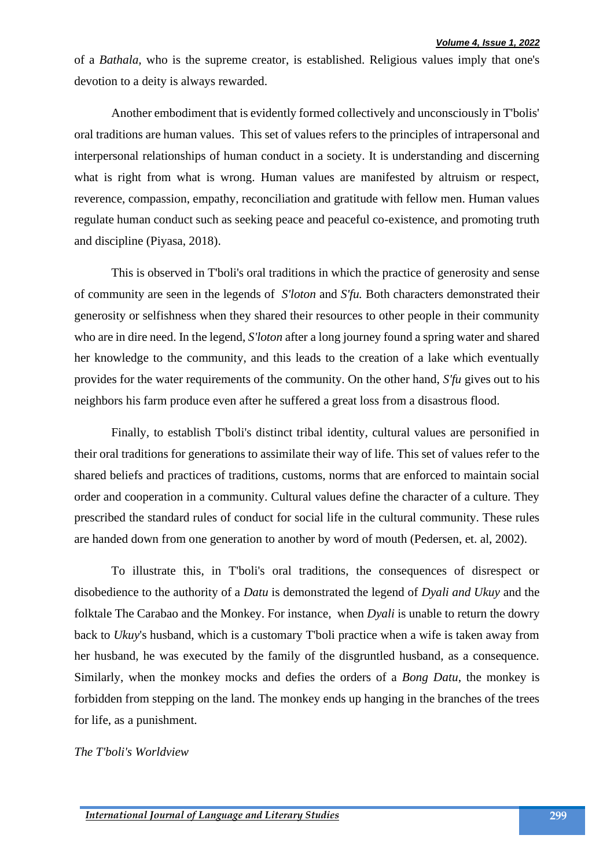of a *Bathala,* who is the supreme creator, is established. Religious values imply that one's devotion to a deity is always rewarded.

Another embodiment that is evidently formed collectively and unconsciously in T'bolis' oral traditions are human values. This set of values refers to the principles of intrapersonal and interpersonal relationships of human conduct in a society. It is understanding and discerning what is right from what is wrong. Human values are manifested by altruism or respect, reverence, compassion, empathy, reconciliation and gratitude with fellow men. Human values regulate human conduct such as seeking peace and peaceful co-existence, and promoting truth and discipline (Piyasa, 2018).

This is observed in T'boli's oral traditions in which the practice of generosity and sense of community are seen in the legends of *S'loton* and *S'fu.* Both characters demonstrated their generosity or selfishness when they shared their resources to other people in their community who are in dire need. In the legend, *S'loton* after a long journey found a spring water and shared her knowledge to the community, and this leads to the creation of a lake which eventually provides for the water requirements of the community. On the other hand, *S'fu* gives out to his neighbors his farm produce even after he suffered a great loss from a disastrous flood.

Finally, to establish T'boli's distinct tribal identity, cultural values are personified in their oral traditions for generations to assimilate their way of life. This set of values refer to the shared beliefs and practices of traditions, customs, norms that are enforced to maintain social order and cooperation in a community. Cultural values define the character of a culture. They prescribed the standard rules of conduct for social life in the cultural community. These rules are handed down from one generation to another by word of mouth (Pedersen, et. al, 2002).

To illustrate this, in T'boli's oral traditions, the consequences of disrespect or disobedience to the authority of a *Datu* is demonstrated the legend of *Dyali and Ukuy* and the folktale The Carabao and the Monkey. For instance, when *Dyali* is unable to return the dowry back to *Ukuy*'s husband, which is a customary T'boli practice when a wife is taken away from her husband, he was executed by the family of the disgruntled husband, as a consequence. Similarly, when the monkey mocks and defies the orders of a *Bong Datu*, the monkey is forbidden from stepping on the land. The monkey ends up hanging in the branches of the trees for life, as a punishment.

*The T'boli's Worldview*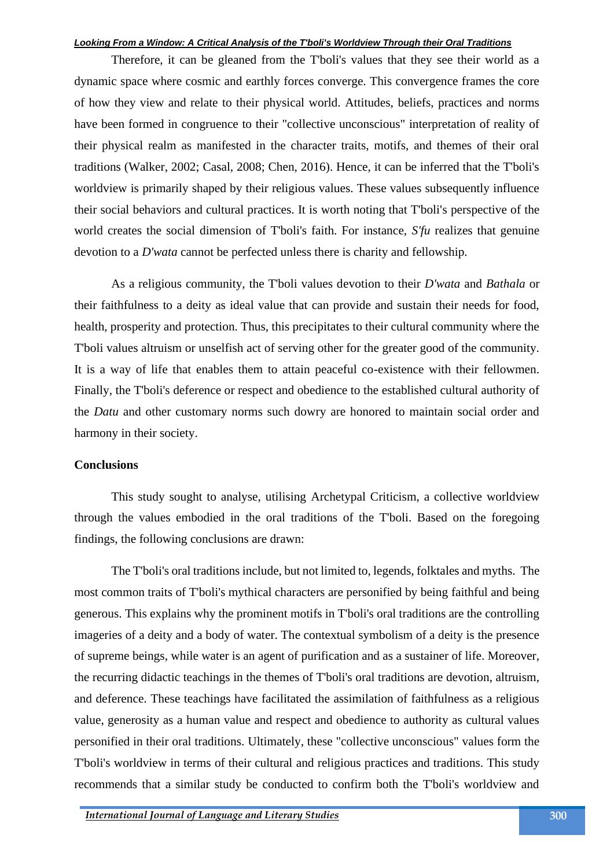Therefore, it can be gleaned from the T'boli's values that they see their world as a dynamic space where cosmic and earthly forces converge. This convergence frames the core of how they view and relate to their physical world. Attitudes, beliefs, practices and norms have been formed in congruence to their "collective unconscious" interpretation of reality of their physical realm as manifested in the character traits, motifs, and themes of their oral traditions (Walker, 2002; Casal, 2008; Chen, 2016). Hence, it can be inferred that the T'boli's worldview is primarily shaped by their religious values. These values subsequently influence their social behaviors and cultural practices. It is worth noting that T'boli's perspective of the world creates the social dimension of T'boli's faith. For instance, *S'fu* realizes that genuine devotion to a *D'wata* cannot be perfected unless there is charity and fellowship.

As a religious community, the T'boli values devotion to their *D'wata* and *Bathala* or their faithfulness to a deity as ideal value that can provide and sustain their needs for food, health, prosperity and protection. Thus, this precipitates to their cultural community where the T'boli values altruism or unselfish act of serving other for the greater good of the community. It is a way of life that enables them to attain peaceful co-existence with their fellowmen. Finally, the T'boli's deference or respect and obedience to the established cultural authority of the *Datu* and other customary norms such dowry are honored to maintain social order and harmony in their society.

#### **Conclusions**

This study sought to analyse, utilising Archetypal Criticism, a collective worldview through the values embodied in the oral traditions of the T'boli. Based on the foregoing findings, the following conclusions are drawn:

The T'boli's oral traditions include, but not limited to, legends, folktales and myths. The most common traits of T'boli's mythical characters are personified by being faithful and being generous. This explains why the prominent motifs in T'boli's oral traditions are the controlling imageries of a deity and a body of water. The contextual symbolism of a deity is the presence of supreme beings, while water is an agent of purification and as a sustainer of life. Moreover, the recurring didactic teachings in the themes of T'boli's oral traditions are devotion, altruism, and deference. These teachings have facilitated the assimilation of faithfulness as a religious value, generosity as a human value and respect and obedience to authority as cultural values personified in their oral traditions. Ultimately, these "collective unconscious" values form the T'boli's worldview in terms of their cultural and religious practices and traditions. This study recommends that a similar study be conducted to confirm both the T'boli's worldview and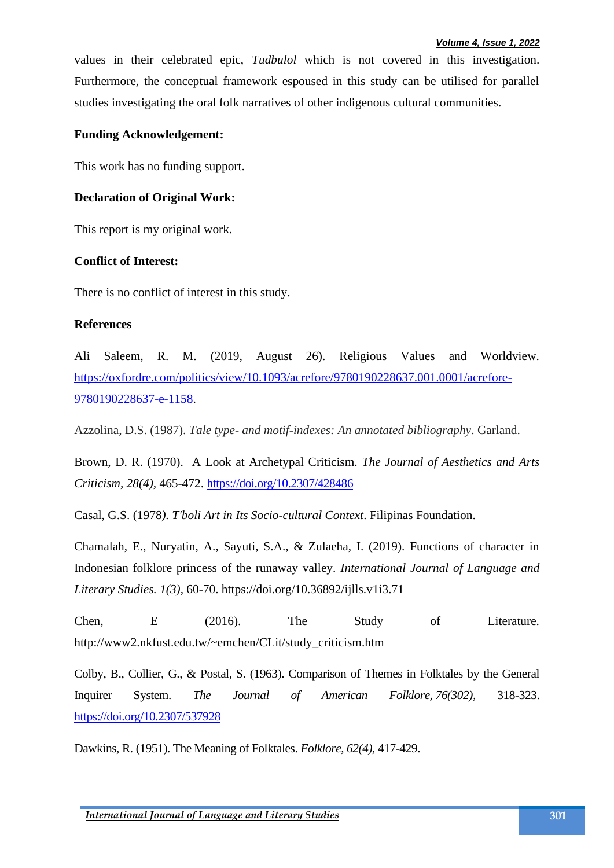values in their celebrated epic, *Tudbulol* which is not covered in this investigation. Furthermore, the conceptual framework espoused in this study can be utilised for parallel studies investigating the oral folk narratives of other indigenous cultural communities.

# **Funding Acknowledgement:**

This work has no funding support.

# **Declaration of Original Work:**

This report is my original work.

# **Conflict of Interest:**

There is no conflict of interest in this study.

# **References**

Ali Saleem, R. M. (2019, August 26). Religious Values and Worldview. [https://oxfordre.com/politics/view/10.1093/acrefore/9780190228637.001.0001/acrefore-](https://oxfordre.com/politics/view/10.1093/acrefore/9780190228637.001.0001/acrefore-9780190228637-e-1158)[9780190228637-e-1158.](https://oxfordre.com/politics/view/10.1093/acrefore/9780190228637.001.0001/acrefore-9780190228637-e-1158)

Azzolina, D.S. (1987). *Tale type- and motif-indexes: An annotated bibliography*. Garland.

Brown, D. R. (1970). A Look at Archetypal Criticism. *The Journal of Aesthetics and Arts Criticism, 28(4),* 465-472.<https://doi.org/10.2307/428486>

Casal, G.S. (1978*). T'boli Art in Its Socio-cultural Context*. Filipinas Foundation.

Chamalah, E., Nuryatin, A., Sayuti, S.A., & Zulaeha, I. (2019). Functions of character in Indonesian folklore princess of the runaway valley. *International Journal of Language and Literary Studies. 1(3),* 60-70. https://doi.org/10.36892/ijlls.v1i3.71

Chen, E (2016). The Study of Literature. http://www2.nkfust.edu.tw/~emchen/CLit/study\_criticism.htm

Colby, B., Collier, G., & Postal, S. (1963). Comparison of Themes in Folktales by the General Inquirer System. *The Journal of American Folklore, 76(302),* 318-323. <https://doi.org/10.2307/537928>

Dawkins, R. (1951). The Meaning of Folktales. *Folklore, 62(4),* 417-429.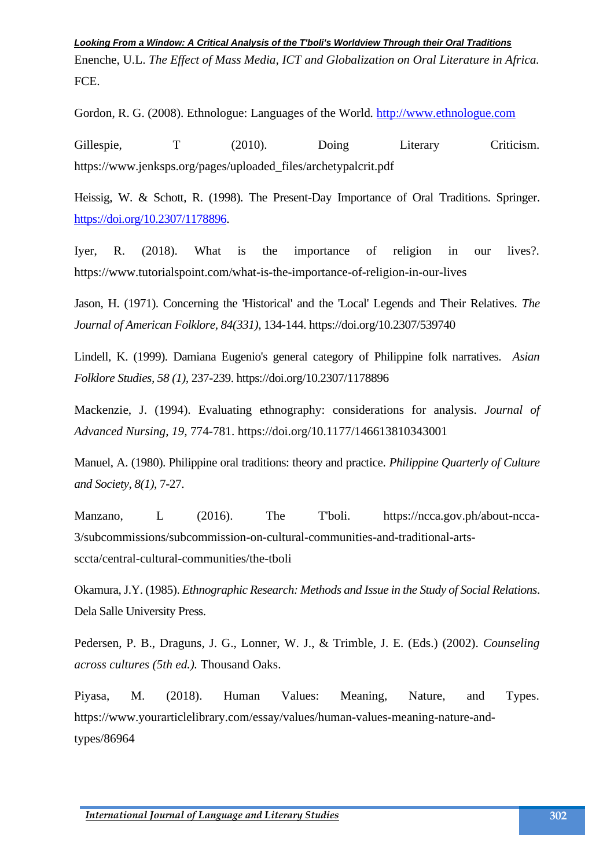Enenche, U.L. *The Effect of Mass Media, ICT and Globalization on Oral Literature in Africa.*  FCE.

Gordon, R. G. (2008). Ethnologue: Languages of the World*.* [http://www.ethnologue.com](http://www.ethnologue.com/)

Gillespie, T (2010). Doing Literary Criticism. https://www.jenksps.org/pages/uploaded\_files/archetypalcrit.pdf

Heissig, W. & Schott, R. (1998). The Present-Day Importance of Oral Traditions. Springer. [https://doi.org/10.2307/1178896.](https://doi.org/10.2307/1178896)

Iyer, R. (2018). What is the importance of religion in our lives?. https://www.tutorialspoint.com/what-is-the-importance-of-religion-in-our-lives

Jason, H. (1971). Concerning the 'Historical' and the 'Local' Legends and Their Relatives. *The Journal of American Folklore, 84(331),* 134-144. https://doi.org/10.2307/539740

Lindell, K. (1999). Damiana Eugenio's general category of Philippine folk narratives. *Asian Folklore Studies, 58 (1),* 237-239. https://doi.org/10.2307/1178896

Mackenzie, J. (1994). Evaluating ethnography: considerations for analysis. *Journal of Advanced Nursing*, *19,* 774-781. https://doi.org/10.1177/146613810343001

Manuel, A. (1980). Philippine oral traditions: theory and practice. *Philippine Quarterly of Culture and Society, 8(1),* 7-27.

Manzano, L (2016). The T'boli. https://ncca.gov.ph/about-ncca-3/subcommissions/subcommission-on-cultural-communities-and-traditional-artssccta/central-cultural-communities/the-tboli

Okamura, J.Y. (1985). *Ethnographic Research: Methods and Issue in the Study of Social Relations*. Dela Salle University Press.

Pedersen, P. B., Draguns, J. G., Lonner, W. J., & Trimble, J. E. (Eds.) (2002). *Counseling across cultures (5th ed.).* Thousand Oaks.

Piyasa, M. (2018). Human Values: Meaning, Nature, and Types. https://www.yourarticlelibrary.com/essay/values/human-values-meaning-nature-andtypes/86964